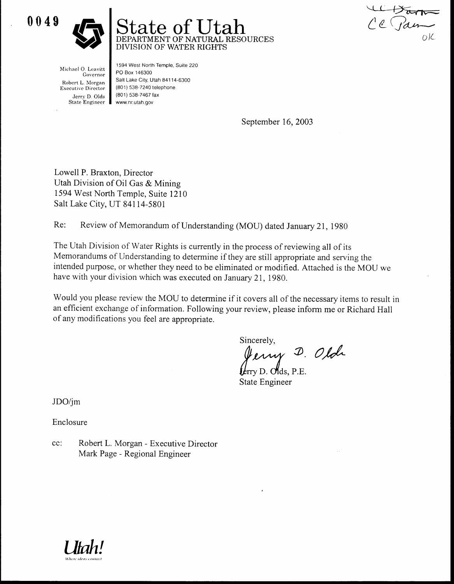0049  $\begin{array}{c} \hline 0 \\ 0 \\ 0 \\ 4 \\ 9 \end{array}$ 



# $\tt{te of Utah} \atop^{\tt{MENT OF NATURAL RESOURCES}}$ DIVISION OF WATER RIGHTS

Ve Parm

Michael O. Leavitt Governor Robert L . Morgan Executive Director

Jerry D. Olds<br>State Engineer Www.nr.utah.gov 1594 West North Temple, Suite 220 PO Box 146300 Salt Lake City, Utah 84114-6300 (801) 538-7240 telephone (801) 538-7467 fax

September 16, 2003

Lowell P. Braxton, Director Utah Division of Oil Gas & Mining 1594 West North Temple, Suite 1210 Salt Lake City, UT 84114-5801

Re: Review of Memorandum of Understanding (MOU) dated January 21, 1980

The Utah Division of Water Rights is currently in the process of reviewing all of its Memorandums of Understanding to determine if they are still appropriate and serving the intended purpose, or whether they need to be eliminated or modified . Attached is the MOU we have with your division which was executed on January 21, 1980. **SERVIE DESCRIPED AND SERVIET DEVICE NATURE SIGNATION**<br>
BERNATION OF NATURAL<br>
BIN BOWER RIGHT<br>
Robert Livener Boat 14800<br>
Robert Livener Boat 1480, Unit at 148500<br>
Robert Dolla (8011 SB7-7671ax<br>
Star Engineer I www.ncuan.

Would you please review the MOU to determine if it covers all of the necessary items to result in an efficient exchange of information. Following your review, please inform me or Richard Hall of any modifications you feel are appropriate .

Sincerely,

 $O$ ,  $O$ 

rry D. Olds, P.E. State Engineer

JDO/jm

Enclosure

cc: Mark Page - Regional Engineer

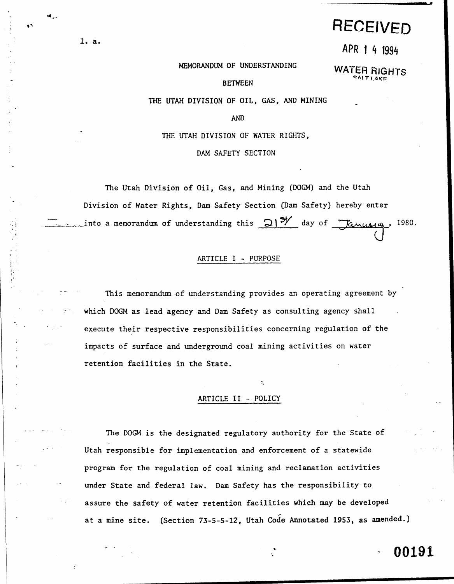# RECEIVED

APR 1 4 1994

#### MEMORANDUM OF UNDERSTANDING

WATER RIGHTS

### BETWEEN

THE UTAH DIVISION OF OIL, GAS, AND MINING

AND

THE UTAH DIVISION OF WATER RIGHTS,

DAM SAFETY SECTION

The Utah Division of Oil, Gas, and Mining (DOGM) and the Utah Division of Water Rights, Dam Safety Section (Dam Safety) hereby enter into a memorandum of understanding this  $\Omega$ 1<sup>9</sup>Y day of *Lanualy*, 1980.

#### ARTICLE I - PURPOSE

This memorandum of understanding provides an operating agreement by which DOGM as lead agency and Dam Safety as consulting agency shall execute their respective responsibilities concerning regulation of the impacts of surface and underground coal mining activities on water retention facilities in the State .

#### ARTICLE II - POLICY

The DOGM is the designated regulatory authority for the State of Utah responsible for implementation and enforcement of a statewide program for the regulation of coal mining and reclamation activities under State and federal law. Dam Safety has the responsibility to assure the safety of water retention facilities which may be developed at a mine site. (Section 73-5-5-12, Utah Code Annotated 1953, as amended.)

## 00191

1. a. 

...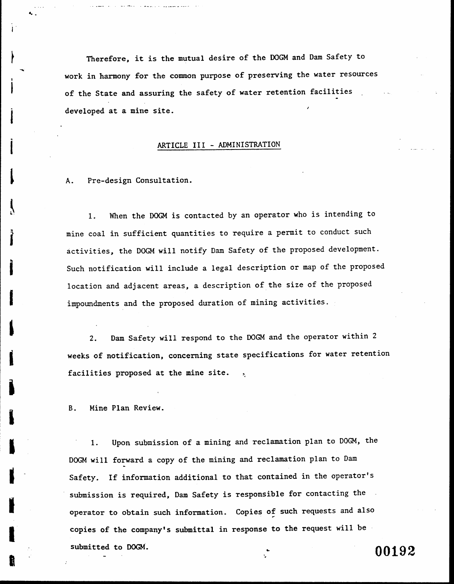Therefore, it is the mutual desire of the DOGM and Dam Safety to work in harmony for the common purpose of preserving the water resources of the State and assuring the safety of water retention facilities developed at a mine site.

#### ARTICLE III -ADMINISTRATION

A. Pre-design Consultation.

r

.,

 $\label{eq:2} \frac{1}{4\pi}\left(\frac{1}{\sqrt{2}}\right)^{1/2}$ 

I

 $\cdot$ 

 $\mathbf{r}$ 

7

,

i

I

I

I

 $\blacksquare$ 

I

1. When the DOGM is contacted by an operator who is intending to mine coal in sufficient quantities to require a permit to conduct such activities, the DOGM will notify Dam Safety of the proposed development . Such notification will include a legal description or map of the proposed location and adjacent areas, a description of the size of the proposed impoundments and the proposed duration of mining activities.

2. Dam Safety will respond to the DOGM and the operator within 2 weeks of notification, concerning state specifications for water retention facilities proposed at the mine site.

B. Mine Plan Review.

<sup>1</sup> . Upon submission of a mining and reclamation plan to DOGM, the DOGM will forward a copy of the mining and reclamation plan to Dam Safety. If information additional to that contained in the operator's submission is required, Dam Safety is responsible for contacting the operator to obtain such information. Copies of such requests and also copies of the company's submittal in response to the request will be submitted to DOGM.  $00192$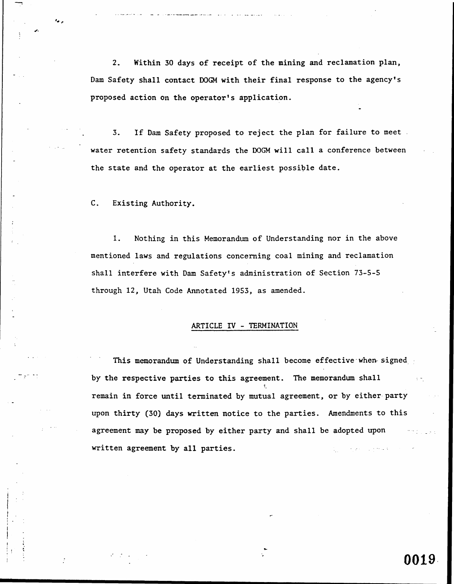2. Within 30 days of receipt of the mining and reclamation plan, Dam Safety shall contact DOGM with their final response to the agency's proposed action on the operator's application .

3. If Dam Safety proposed to reject the plan for failure to meet. water retention safety standards the DOGM will call a conference between the state and the operator at the earliest possible date.

C. Existing Authority.

..

-<sup>0</sup>4

<sup>1</sup> . Nothing in this Memorandum of Understanding nor in the above mentioned laws and regulations concerning coal mining and reclamation shall interfere with Dam Safety's administration of Section 73-5-5 through 12, Utah Code Annotated 1953, as amended .

### ARTICLE IV - TERMINATION

This memorandum of Understanding shall become effective when signed by the respective parties to this agreement. The memorandum shall remain in force until terminated by mutual agreement, or by either-party upon thirty (30) days written notice to the parties. Amendments to this agreement may be proposed by either party and shall be adopted upon written agreement by all parties.